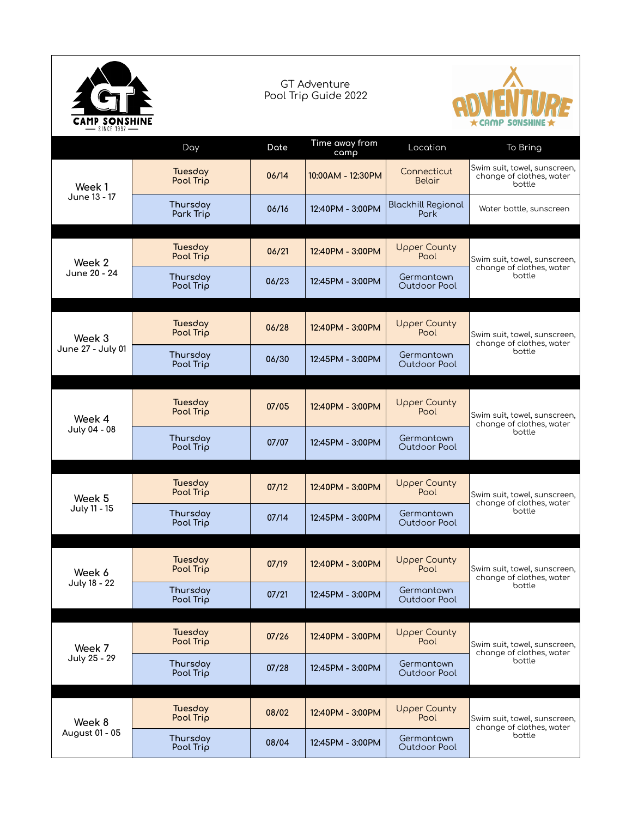| CAMP SONSHIN<br>- SINCE 1992 |                       | <b>GT Adventure</b><br>Pool Trip Guide 2022 |                        |                                   | AMP SØNSHINE                                                       |  |
|------------------------------|-----------------------|---------------------------------------------|------------------------|-----------------------------------|--------------------------------------------------------------------|--|
|                              | Day                   | Date                                        | Time away from<br>camp | Location                          | To Bring                                                           |  |
| Week 1<br>June 13 - 17       | Tuesday<br>Pool Trip  | 06/14                                       | 10:00AM - 12:30PM      | Connecticut<br>Belair             | Swim suit, towel, sunscreen,<br>change of clothes, water<br>bottle |  |
|                              | Thursday<br>Park Trip | 06/16                                       | 12:40PM - 3:00PM       | <b>Blackhill Regional</b><br>Park | Water bottle, sunscreen                                            |  |
| Week 2<br>June 20 - 24       | Tuesday<br>Pool Trip  | 06/21                                       | 12:40PM - 3:00PM       | <b>Upper County</b><br>Pool       | Swim suit, towel, sunscreen,<br>change of clothes, water<br>bottle |  |
|                              | Thursday<br>Pool Trip | 06/23                                       | 12:45PM - 3:00PM       | Germantown<br>Outdoor Pool        |                                                                    |  |
| Week 3<br>June 27 - July 01  | Tuesday<br>Pool Trip  | 06/28                                       | 12:40PM - 3:00PM       | <b>Upper County</b><br>Pool       | Swim suit, towel, sunscreen,<br>change of clothes, water<br>bottle |  |
|                              | Thursday<br>Pool Trip | 06/30                                       | 12:45PM - 3:00PM       | Germantown<br>Outdoor Pool        |                                                                    |  |
| Week 4<br>July 04 - 08       | Tuesday<br>Pool Trip  | 07/05                                       | 12:40PM - 3:00PM       | <b>Upper County</b><br>Pool       | Swim suit, towel, sunscreen,<br>change of clothes, water<br>bottle |  |
|                              | Thursday<br>Pool Trip | 07/07                                       | 12:45PM - 3:00PM       | Germantown<br>Outdoor Pool        |                                                                    |  |
| Week 5<br>July 11 - 15       | Tuesday<br>Pool Trip  | 07/12                                       | 12:40PM - 3:00PM       | <b>Upper County</b><br>Pool       | Swim suit, towel, sunscreen,<br>change of clothes, water<br>bottle |  |
|                              | Thursday<br>Pool Trip | 07/14                                       | 12:45PM - 3:00PM       | Germantown<br>Outdoor Pool        |                                                                    |  |
| Week 6<br>July 18 - 22       | Tuesday<br>Pool Trip  | 07/19                                       | 12:40PM - 3:00PM       | <b>Upper County</b><br>Pool       | Swim suit, towel, sunscreen,<br>change of clothes, water<br>bottle |  |
|                              | Thursday<br>Pool Trip | 07/21                                       | 12:45PM - 3:00PM       | Germantown<br>Outdoor Pool        |                                                                    |  |
| Week 7<br>July 25 - 29       | Tuesday<br>Pool Trip  | 07/26                                       | 12:40PM - 3:00PM       | <b>Upper County</b><br>Pool       | Swim suit, towel, sunscreen,<br>change of clothes, water<br>bottle |  |
|                              | Thursday<br>Pool Trip | 07/28                                       | 12:45PM - 3:00PM       | Germantown<br>Outdoor Pool        |                                                                    |  |
| Week 8<br>August 01 - 05     | Tuesday<br>Pool Trip  | 08/02                                       | 12:40PM - 3:00PM       | <b>Upper County</b><br>Pool       | Swim suit, towel, sunscreen,<br>change of clothes, water<br>bottle |  |
|                              | Thursday<br>Pool Trip | 08/04                                       | 12:45PM - 3:00PM       | Germantown<br>Outdoor Pool        |                                                                    |  |